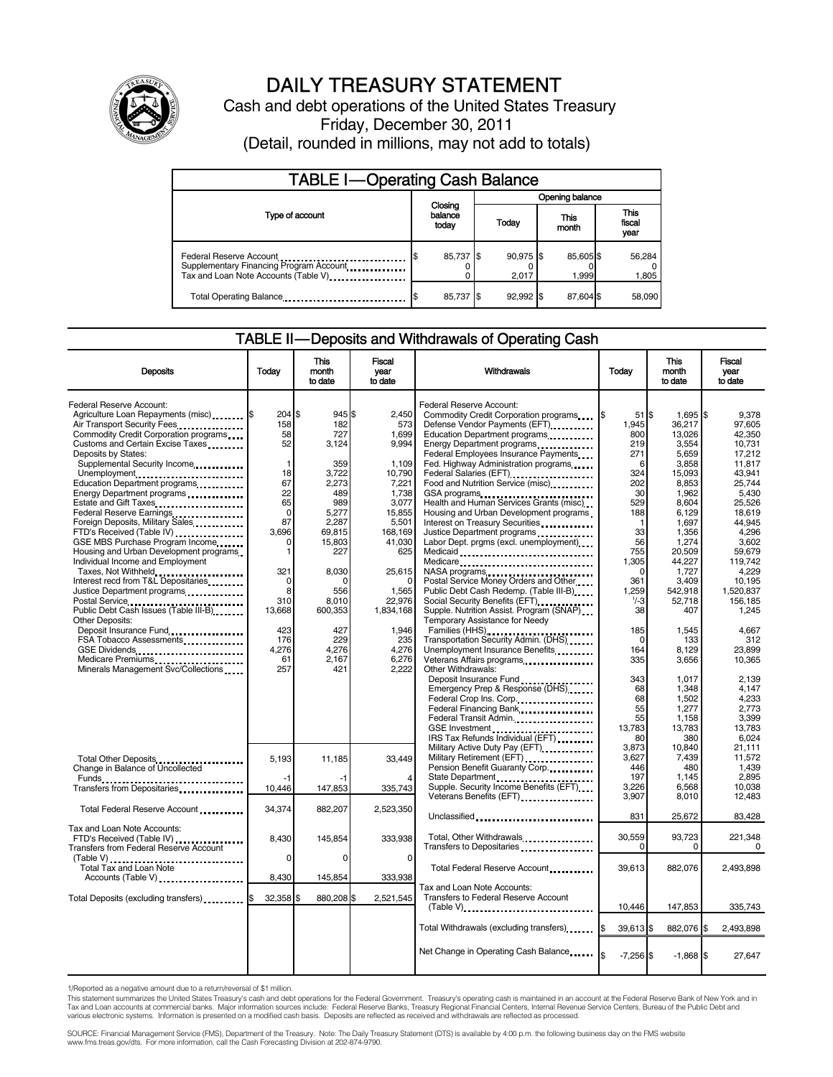

# DAILY TREASURY STATEMENT

Cash and debt operations of the United States Treasury Friday, December 30, 2011 (Detail, rounded in millions, may not add to totals)

| <b>TABLE I-Operating Cash Balance</b>                                                                       |                             |  |                    |                   |                               |  |  |  |
|-------------------------------------------------------------------------------------------------------------|-----------------------------|--|--------------------|-------------------|-------------------------------|--|--|--|
|                                                                                                             |                             |  | Opening balance    |                   |                               |  |  |  |
| Type of account                                                                                             | Closing<br>balance<br>today |  | Today              | This<br>month     | <b>This</b><br>fiscal<br>year |  |  |  |
| Federal Reserve Account<br>Supplementary Financing Program Account<br>Tax and Loan Note Accounts (Table V). | 85,737 \$                   |  | 90,975 \$<br>2.017 | 85,605\$<br>1,999 | 56,284<br>1,805               |  |  |  |
| Total Operating Balance                                                                                     | 85,737 \$                   |  | $92.992$ \$        | 87.604 \$         | 58.090                        |  |  |  |

### TABLE II — Deposits and Withdrawals of Operating Cash

| <b>Deposits</b>                               | Today        | <b>This</b><br>month<br>to date | <b>Fiscal</b><br>year<br>to date | <b>Withdrawals</b>                                                                                                                                                                                                              | Today         | <b>This</b><br>month<br>to date | <b>Fiscal</b><br>year<br>to date |  |
|-----------------------------------------------|--------------|---------------------------------|----------------------------------|---------------------------------------------------------------------------------------------------------------------------------------------------------------------------------------------------------------------------------|---------------|---------------------------------|----------------------------------|--|
|                                               |              |                                 |                                  |                                                                                                                                                                                                                                 |               |                                 |                                  |  |
| Federal Reserve Account:                      |              |                                 |                                  | Federal Reserve Account:                                                                                                                                                                                                        |               |                                 |                                  |  |
| Agriculture Loan Repayments (misc) \$         | $204$ \$     | 945\$                           | 2,450                            | Commodity Credit Corporation programs                                                                                                                                                                                           | $51$ S<br>1\$ | 1,695 \$                        | 9.378                            |  |
| Air Transport Security Fees                   | 158          | 182                             | 573                              | Defense Vendor Payments (EFT)                                                                                                                                                                                                   | 1,945         | 36,217                          | 97.605                           |  |
| Commodity Credit Corporation programs         | 58           | 727                             | 1,699                            | Education Department programs                                                                                                                                                                                                   | 800           | 13,026                          | 42,350                           |  |
| Customs and Certain Excise Taxes              | 52           | 3.124                           | 9.994                            | Energy Department programs                                                                                                                                                                                                      | 219           | 3,554                           | 10,731                           |  |
| Deposits by States:                           |              |                                 |                                  | Federal Employees Insurance Payments                                                                                                                                                                                            | 271           | 5,659                           | 17,212                           |  |
| Supplemental Security Income                  | $\mathbf{1}$ | 359                             | 1,109                            | Fed. Highway Administration programs                                                                                                                                                                                            | 6             | 3,858                           | 11,817                           |  |
| Unemployment                                  | 18           | 3,722                           | 10,790                           | Federal Salaries (EFT)<br>1991 - Production Contract Contract Contract Contract Contract Contract Contract Contract Contract Contract Contract Contract Contract Contract Contract Contract Contract Contract Contract Contract | 324           | 15,093                          | 43.941                           |  |
| Education Department programs                 | 67           | 2,273                           | 7,221                            | Food and Nutrition Service (misc)                                                                                                                                                                                               | 202           | 8,853                           | 25,744                           |  |
| Energy Department programs                    | 22           | 489                             | 1,738                            |                                                                                                                                                                                                                                 | 30            | 1,962                           | 5,430                            |  |
| Estate and Gift Taxes                         | 65           | 989                             | 3.077                            | Health and Human Services Grants (misc)                                                                                                                                                                                         | 529           | 8.604                           | 25,526                           |  |
| Federal Reserve Earnings                      | 0            | 5,277                           | 15,855                           | Housing and Urban Development programs                                                                                                                                                                                          | 188           | 6,129                           | 18.619                           |  |
| Foreign Deposits, Military Sales              | 87           | 2.287                           | 5,501                            | Interest on Treasury Securities                                                                                                                                                                                                 |               | 1,697                           | 44.945                           |  |
| FTD's Received (Table IV)                     | 3,696        | 69,815                          | 168,169                          |                                                                                                                                                                                                                                 | 33            | 1,356                           | 4,296                            |  |
| GSE MBS Purchase Program Income               | 0            | 15,803                          | 41.030                           | Labor Dept. prgms (excl. unemployment)                                                                                                                                                                                          | 56            | 1,274                           | 3.602                            |  |
| Housing and Urban Development programs        | 1            | 227                             | 625                              |                                                                                                                                                                                                                                 | 755           | 20,509                          | 59,679                           |  |
| Individual Income and Employment              |              |                                 |                                  | Medicare                                                                                                                                                                                                                        | 1,305         | 44,227                          | 119,742                          |  |
| Taxes, Not Withheld                           | 321          | 8.030                           | 25,615                           | NASA programs<br>Postal Service Money Orders and Other                                                                                                                                                                          | $\Omega$      | 1.727                           | 4.229                            |  |
| Interest recd from T&L Depositaries           | 0            | n                               | O                                |                                                                                                                                                                                                                                 | 361           | 3,409                           | 10,195                           |  |
| Justice Department programs                   | 8            | 556                             | 1,565                            | Public Debt Cash Redemp. (Table III-B)                                                                                                                                                                                          | 1,259         | 542,918                         | 1,520,837                        |  |
| Postal Service                                | 310          | 8,010                           | 22,976                           |                                                                                                                                                                                                                                 | $1/-3$        | 52,718                          | 156,185                          |  |
| Public Debt Cash Issues (Table III-B)         | 13,668       | 600,353                         | 1.834.168                        | Supple. Nutrition Assist. Program (SNAP)                                                                                                                                                                                        | 38            | 407                             | 1.245                            |  |
| Other Deposits:                               |              |                                 |                                  | Temporary Assistance for Needy                                                                                                                                                                                                  |               |                                 |                                  |  |
| Deposit Insurance Fund                        | 423          | 427                             | 1,946                            | Families (HHS)<br>Transportation Security Admin. (DHS)                                                                                                                                                                          | 185           | 1,545                           | 4,667                            |  |
| FSA Tobacco Assessments                       | 176          | 229                             | 235                              |                                                                                                                                                                                                                                 | $\Omega$      | 133                             | 312                              |  |
| GSE Dividends                                 | 4,276        | 4,276                           | 4,276                            | Unemployment Insurance Benefits                                                                                                                                                                                                 | 164           | 8,129                           | 23,899                           |  |
| Medicare Premiums                             | 61           | 2.167                           | 6,276                            |                                                                                                                                                                                                                                 | 335           | 3,656                           | 10,365                           |  |
| Minerals Management Svc/Collections           | 257          | 421                             | 2,222                            | Other Withdrawals:                                                                                                                                                                                                              |               |                                 |                                  |  |
|                                               |              |                                 |                                  | Deposit Insurance Fund                                                                                                                                                                                                          | 343           | 1,017                           | 2,139                            |  |
|                                               |              |                                 |                                  | Emergency Prep & Response (DHS)                                                                                                                                                                                                 | 68            | 1,348                           | 4,147                            |  |
|                                               |              |                                 |                                  | Federal Crop Ins. Corp.                                                                                                                                                                                                         | 68            | 1,502                           | 4,233                            |  |
|                                               |              |                                 |                                  | Federal Financing Bank                                                                                                                                                                                                          | 55            | 1.277                           | 2.773                            |  |
|                                               |              |                                 |                                  | Federal Transit Admin.                                                                                                                                                                                                          | 55            | 1,158                           | 3,399                            |  |
|                                               |              |                                 |                                  |                                                                                                                                                                                                                                 | 13.783        | 13,783                          | 13.783                           |  |
|                                               |              |                                 |                                  | IRS Tax Refunds Individual (EFT)                                                                                                                                                                                                | 80            | 380                             | 6,024                            |  |
|                                               |              |                                 |                                  | Military Active Duty Pay (EFT) [1001]                                                                                                                                                                                           | 3,873         | 10,840                          | 21,111                           |  |
| Total Other Deposits                          | 5,193        | 11,185                          | 33,449                           | Military Retirement (EFT)                                                                                                                                                                                                       | 3,627         | 7,439                           | 11,572                           |  |
| Change in Balance of Uncollected              |              |                                 |                                  | Pension Benefit Guaranty Corp.                                                                                                                                                                                                  | 446           | 480                             | 1.439                            |  |
| Funds                                         | $-1$         |                                 |                                  |                                                                                                                                                                                                                                 | 197           | 1,145                           | 2.895                            |  |
| Transfers from Depositaries                   | 10.446       | 147,853                         | 335,743                          | Supple. Security Income Benefits (EFT)                                                                                                                                                                                          | 3,226         | 6,568                           | 10,038                           |  |
|                                               |              |                                 |                                  | Veterans Benefits (EFT)                                                                                                                                                                                                         | 3.907         | 8,010                           | 12.483                           |  |
| Total Federal Reserve Account                 | 34,374       | 882,207                         | 2,523,350                        |                                                                                                                                                                                                                                 |               |                                 |                                  |  |
|                                               |              |                                 |                                  | Unclassified                                                                                                                                                                                                                    | 831           | 25,672                          | 83,428                           |  |
| Tax and Loan Note Accounts:                   |              |                                 |                                  |                                                                                                                                                                                                                                 |               |                                 |                                  |  |
| FTD's Received (Table IV)                     | 8,430        | 145,854                         | 333,938                          | Total, Other Withdrawals                                                                                                                                                                                                        | 30,559        | 93,723                          | 221,348                          |  |
| <b>Transfers from Federal Reserve Account</b> |              |                                 |                                  | Transfers to Depositaries                                                                                                                                                                                                       | <sup>0</sup>  | $\Omega$                        | $\Omega$                         |  |
| (Table V)                                     | 0            | $\Omega$                        | 0                                |                                                                                                                                                                                                                                 |               |                                 |                                  |  |
| Total Tax and Loan Note                       |              |                                 |                                  | Total Federal Reserve Account                                                                                                                                                                                                   | 39,613        | 882,076                         | 2,493,898                        |  |
| Accounts (Table V)                            | 8,430        | 145,854                         | 333,938                          |                                                                                                                                                                                                                                 |               |                                 |                                  |  |
|                                               |              |                                 |                                  | Tax and Loan Note Accounts:                                                                                                                                                                                                     |               |                                 |                                  |  |
| Total Deposits (excluding transfers)          | 32,358 \$    | 880,208                         | 2,521,545                        | Transfers to Federal Reserve Account                                                                                                                                                                                            |               |                                 |                                  |  |
|                                               |              |                                 |                                  |                                                                                                                                                                                                                                 | 10,446        | 147,853                         | 335,743                          |  |
|                                               |              |                                 |                                  |                                                                                                                                                                                                                                 |               |                                 |                                  |  |
|                                               |              |                                 |                                  | Total Withdrawals (excluding transfers)                                                                                                                                                                                         | 39,613 \$     | 882,076 \$                      | 2,493,898                        |  |
|                                               |              |                                 |                                  |                                                                                                                                                                                                                                 |               |                                 |                                  |  |
|                                               |              |                                 |                                  | Net Change in Operating Cash Balance                                                                                                                                                                                            |               |                                 |                                  |  |
|                                               |              |                                 |                                  |                                                                                                                                                                                                                                 | $-7,256$ \$   | $-1,868$ \$                     | 27,647                           |  |
|                                               |              |                                 |                                  |                                                                                                                                                                                                                                 |               |                                 |                                  |  |

1/Reported as a negative amount due to a return/reversal of \$1 million.

This statement summarizes the United States Treasury's cash and debt operations for the Federal Government. Treasury's operating cash is maintained in an account at the Federal Reserve Bank of New York and in<br>Tax and Loan

SOURCE: Financial Management Service (FMS), Department of the Treasury. Note: The Daily Treasury Statement (DTS) is available by 4:00 p.m. the following business day on the FMS website<br>www.fms.treas.gov/dts. For more infor